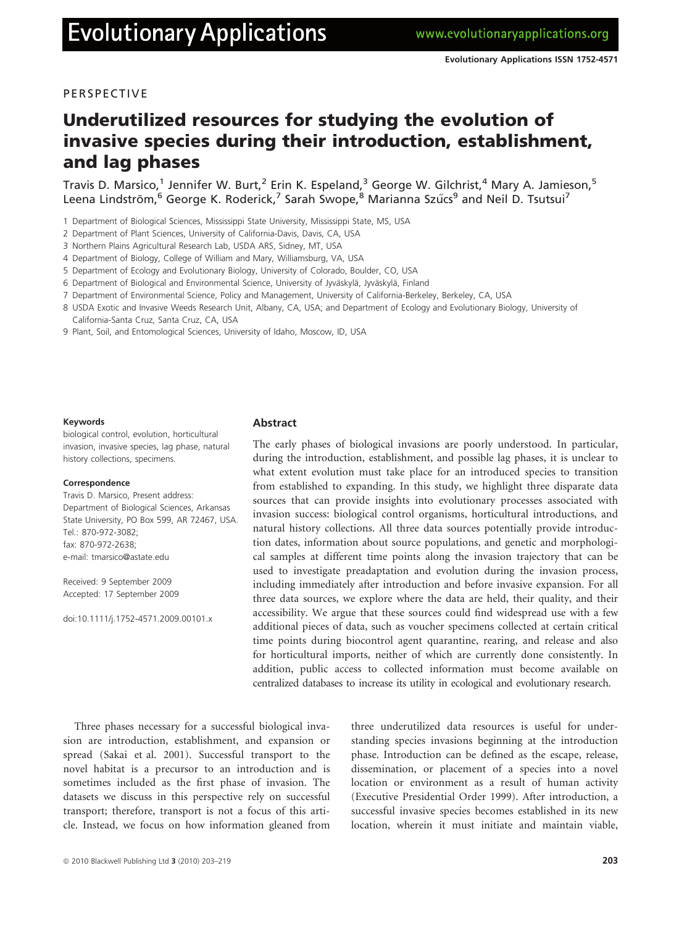## PERSPECTIVE

# Underutilized resources for studying the evolution of invasive species during their introduction, establishment, and lag phases

Travis D. Marsico,<sup>1</sup> Jennifer W. Burt,<sup>2</sup> Erin K. Espeland,<sup>3</sup> George W. Gilchrist,<sup>4</sup> Mary A. Jamieson,<sup>5</sup> Leena Lindström,<sup>6</sup> George K. Roderick,<sup>7</sup> Sarah Swope,<sup>8</sup> Marianna Szűcs<sup>9</sup> and Neil D. Tsutsui<sup>7</sup>

1 Department of Biological Sciences, Mississippi State University, Mississippi State, MS, USA

2 Department of Plant Sciences, University of California-Davis, Davis, CA, USA

- 3 Northern Plains Agricultural Research Lab, USDA ARS, Sidney, MT, USA
- 4 Department of Biology, College of William and Mary, Williamsburg, VA, USA
- 5 Department of Ecology and Evolutionary Biology, University of Colorado, Boulder, CO, USA
- 6 Department of Biological and Environmental Science, University of Jyväskylä, Jyväskylä, Finland
- 7 Department of Environmental Science, Policy and Management, University of California-Berkeley, Berkeley, CA, USA
- 8 USDA Exotic and Invasive Weeds Research Unit, Albany, CA, USA; and Department of Ecology and Evolutionary Biology, University of California-Santa Cruz, Santa Cruz, CA, USA
- 9 Plant, Soil, and Entomological Sciences, University of Idaho, Moscow, ID, USA

#### Keywords

biological control, evolution, horticultural invasion, invasive species, lag phase, natural history collections, specimens.

#### Correspondence

Travis D. Marsico, Present address: Department of Biological Sciences, Arkansas State University, PO Box 599, AR 72467, USA. Tel.: 870-972-3082; fax: 870-972-2638; e-mail: tmarsico@astate.edu

Received: 9 September 2009 Accepted: 17 September 2009

doi:10.1111/j.1752-4571.2009.00101.x

## Abstract

The early phases of biological invasions are poorly understood. In particular, during the introduction, establishment, and possible lag phases, it is unclear to what extent evolution must take place for an introduced species to transition from established to expanding. In this study, we highlight three disparate data sources that can provide insights into evolutionary processes associated with invasion success: biological control organisms, horticultural introductions, and natural history collections. All three data sources potentially provide introduction dates, information about source populations, and genetic and morphological samples at different time points along the invasion trajectory that can be used to investigate preadaptation and evolution during the invasion process, including immediately after introduction and before invasive expansion. For all three data sources, we explore where the data are held, their quality, and their accessibility. We argue that these sources could find widespread use with a few additional pieces of data, such as voucher specimens collected at certain critical time points during biocontrol agent quarantine, rearing, and release and also for horticultural imports, neither of which are currently done consistently. In addition, public access to collected information must become available on centralized databases to increase its utility in ecological and evolutionary research.

Three phases necessary for a successful biological invasion are introduction, establishment, and expansion or spread (Sakai et al. 2001). Successful transport to the novel habitat is a precursor to an introduction and is sometimes included as the first phase of invasion. The datasets we discuss in this perspective rely on successful transport; therefore, transport is not a focus of this article. Instead, we focus on how information gleaned from three underutilized data resources is useful for understanding species invasions beginning at the introduction phase. Introduction can be defined as the escape, release, dissemination, or placement of a species into a novel location or environment as a result of human activity (Executive Presidential Order 1999). After introduction, a successful invasive species becomes established in its new location, wherein it must initiate and maintain viable,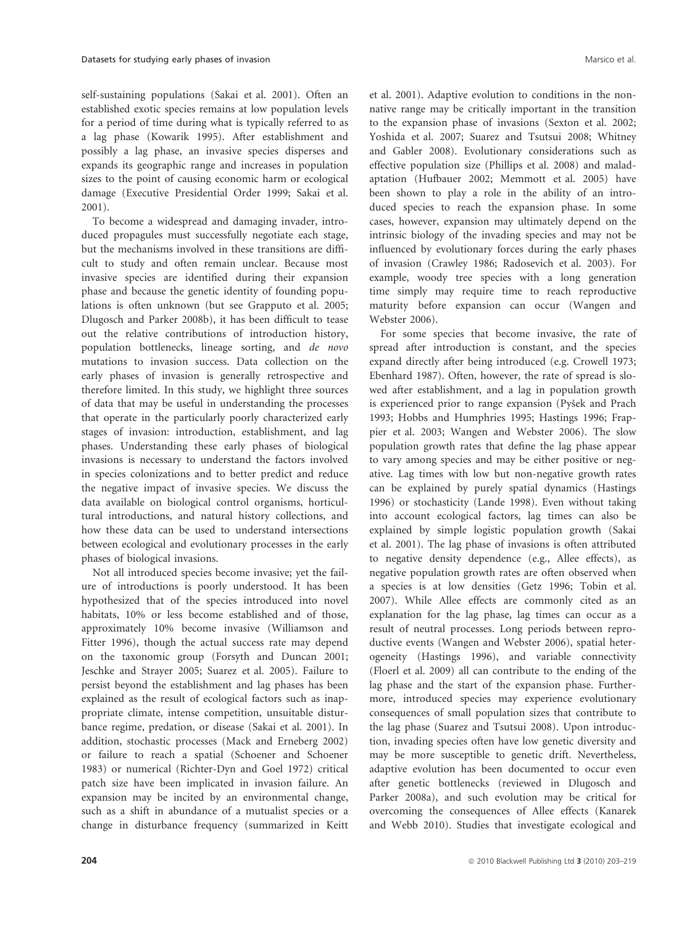self-sustaining populations (Sakai et al. 2001). Often an established exotic species remains at low population levels for a period of time during what is typically referred to as a lag phase (Kowarik 1995). After establishment and possibly a lag phase, an invasive species disperses and expands its geographic range and increases in population sizes to the point of causing economic harm or ecological damage (Executive Presidential Order 1999; Sakai et al. 2001).

To become a widespread and damaging invader, introduced propagules must successfully negotiate each stage, but the mechanisms involved in these transitions are difficult to study and often remain unclear. Because most invasive species are identified during their expansion phase and because the genetic identity of founding populations is often unknown (but see Grapputo et al. 2005; Dlugosch and Parker 2008b), it has been difficult to tease out the relative contributions of introduction history, population bottlenecks, lineage sorting, and de novo mutations to invasion success. Data collection on the early phases of invasion is generally retrospective and therefore limited. In this study, we highlight three sources of data that may be useful in understanding the processes that operate in the particularly poorly characterized early stages of invasion: introduction, establishment, and lag phases. Understanding these early phases of biological invasions is necessary to understand the factors involved in species colonizations and to better predict and reduce the negative impact of invasive species. We discuss the data available on biological control organisms, horticultural introductions, and natural history collections, and how these data can be used to understand intersections between ecological and evolutionary processes in the early phases of biological invasions.

Not all introduced species become invasive; yet the failure of introductions is poorly understood. It has been hypothesized that of the species introduced into novel habitats, 10% or less become established and of those, approximately 10% become invasive (Williamson and Fitter 1996), though the actual success rate may depend on the taxonomic group (Forsyth and Duncan 2001; Jeschke and Strayer 2005; Suarez et al. 2005). Failure to persist beyond the establishment and lag phases has been explained as the result of ecological factors such as inappropriate climate, intense competition, unsuitable disturbance regime, predation, or disease (Sakai et al. 2001). In addition, stochastic processes (Mack and Erneberg 2002) or failure to reach a spatial (Schoener and Schoener 1983) or numerical (Richter-Dyn and Goel 1972) critical patch size have been implicated in invasion failure. An expansion may be incited by an environmental change, such as a shift in abundance of a mutualist species or a change in disturbance frequency (summarized in Keitt

et al. 2001). Adaptive evolution to conditions in the nonnative range may be critically important in the transition to the expansion phase of invasions (Sexton et al. 2002; Yoshida et al. 2007; Suarez and Tsutsui 2008; Whitney and Gabler 2008). Evolutionary considerations such as effective population size (Phillips et al. 2008) and maladaptation (Hufbauer 2002; Memmott et al. 2005) have been shown to play a role in the ability of an introduced species to reach the expansion phase. In some cases, however, expansion may ultimately depend on the intrinsic biology of the invading species and may not be influenced by evolutionary forces during the early phases of invasion (Crawley 1986; Radosevich et al. 2003). For example, woody tree species with a long generation time simply may require time to reach reproductive maturity before expansion can occur (Wangen and Webster 2006).

For some species that become invasive, the rate of spread after introduction is constant, and the species expand directly after being introduced (e.g. Crowell 1973; Ebenhard 1987). Often, however, the rate of spread is slowed after establishment, and a lag in population growth is experienced prior to range expansion (Pyšek and Prach 1993; Hobbs and Humphries 1995; Hastings 1996; Frappier et al. 2003; Wangen and Webster 2006). The slow population growth rates that define the lag phase appear to vary among species and may be either positive or negative. Lag times with low but non-negative growth rates can be explained by purely spatial dynamics (Hastings 1996) or stochasticity (Lande 1998). Even without taking into account ecological factors, lag times can also be explained by simple logistic population growth (Sakai et al. 2001). The lag phase of invasions is often attributed to negative density dependence (e.g., Allee effects), as negative population growth rates are often observed when a species is at low densities (Getz 1996; Tobin et al. 2007). While Allee effects are commonly cited as an explanation for the lag phase, lag times can occur as a result of neutral processes. Long periods between reproductive events (Wangen and Webster 2006), spatial heterogeneity (Hastings 1996), and variable connectivity (Floerl et al. 2009) all can contribute to the ending of the lag phase and the start of the expansion phase. Furthermore, introduced species may experience evolutionary consequences of small population sizes that contribute to the lag phase (Suarez and Tsutsui 2008). Upon introduction, invading species often have low genetic diversity and may be more susceptible to genetic drift. Nevertheless, adaptive evolution has been documented to occur even after genetic bottlenecks (reviewed in Dlugosch and Parker 2008a), and such evolution may be critical for overcoming the consequences of Allee effects (Kanarek and Webb 2010). Studies that investigate ecological and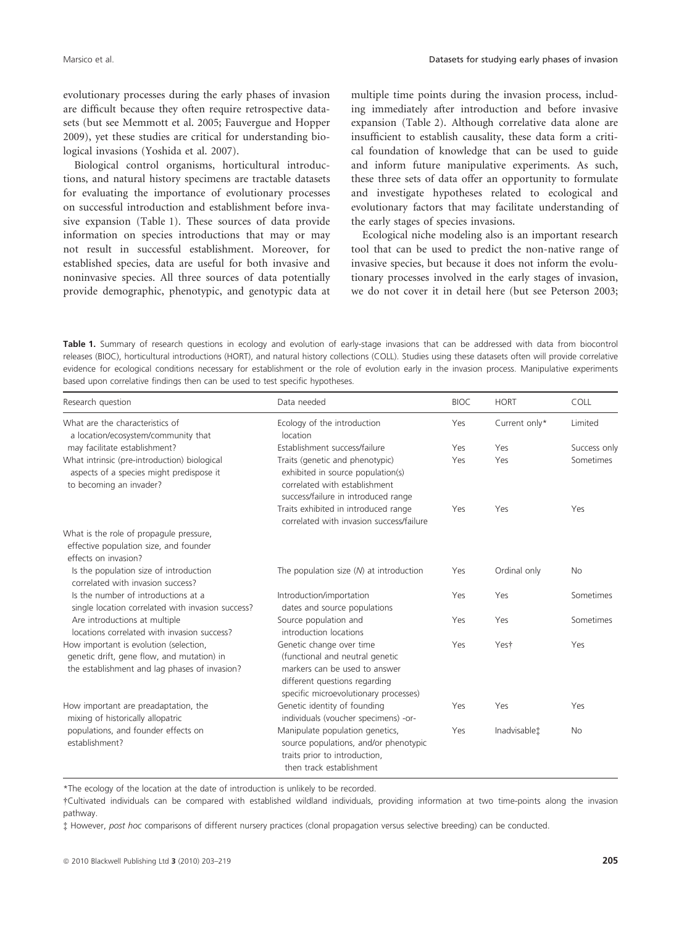evolutionary processes during the early phases of invasion are difficult because they often require retrospective datasets (but see Memmott et al. 2005; Fauvergue and Hopper 2009), yet these studies are critical for understanding biological invasions (Yoshida et al. 2007).

Biological control organisms, horticultural introductions, and natural history specimens are tractable datasets for evaluating the importance of evolutionary processes on successful introduction and establishment before invasive expansion (Table 1). These sources of data provide information on species introductions that may or may not result in successful establishment. Moreover, for established species, data are useful for both invasive and noninvasive species. All three sources of data potentially provide demographic, phenotypic, and genotypic data at multiple time points during the invasion process, including immediately after introduction and before invasive expansion (Table 2). Although correlative data alone are insufficient to establish causality, these data form a critical foundation of knowledge that can be used to guide and inform future manipulative experiments. As such, these three sets of data offer an opportunity to formulate and investigate hypotheses related to ecological and evolutionary factors that may facilitate understanding of the early stages of species invasions.

Ecological niche modeling also is an important research tool that can be used to predict the non-native range of invasive species, but because it does not inform the evolutionary processes involved in the early stages of invasion, we do not cover it in detail here (but see Peterson 2003;

Table 1. Summary of research questions in ecology and evolution of early-stage invasions that can be addressed with data from biocontrol releases (BIOC), horticultural introductions (HORT), and natural history collections (COLL). Studies using these datasets often will provide correlative evidence for ecological conditions necessary for establishment or the role of evolution early in the invasion process. Manipulative experiments based upon correlative findings then can be used to test specific hypotheses.

| Research question                                                                                                                     | Data needed                                                                                                                                                            | <b>BIOC</b> | <b>HORT</b>   | COLL         |
|---------------------------------------------------------------------------------------------------------------------------------------|------------------------------------------------------------------------------------------------------------------------------------------------------------------------|-------------|---------------|--------------|
| What are the characteristics of<br>a location/ecosystem/community that                                                                | Ecology of the introduction<br>location                                                                                                                                | Yes         | Current only* | Limited      |
| may facilitate establishment?                                                                                                         | Establishment success/failure                                                                                                                                          | Yes         | Yes           | Success only |
| What intrinsic (pre-introduction) biological<br>aspects of a species might predispose it<br>to becoming an invader?                   | Traits (genetic and phenotypic)<br>exhibited in source population(s)<br>correlated with establishment<br>success/failure in introduced range                           | Yes         | Yes           | Sometimes    |
|                                                                                                                                       | Traits exhibited in introduced range<br>correlated with invasion success/failure                                                                                       | Yes         | Yes           | Yes          |
| What is the role of propagule pressure,<br>effective population size, and founder<br>effects on invasion?                             |                                                                                                                                                                        |             |               |              |
| Is the population size of introduction<br>correlated with invasion success?                                                           | The population size $(N)$ at introduction                                                                                                                              | Yes         | Ordinal only  | <b>No</b>    |
| Is the number of introductions at a<br>single location correlated with invasion success?                                              | Introduction/importation<br>dates and source populations                                                                                                               | Yes         | Yes           | Sometimes    |
| Are introductions at multiple<br>locations correlated with invasion success?                                                          | Source population and<br>introduction locations                                                                                                                        | Yes         | Yes           | Sometimes    |
| How important is evolution (selection,<br>genetic drift, gene flow, and mutation) in<br>the establishment and lag phases of invasion? | Genetic change over time<br>(functional and neutral genetic<br>markers can be used to answer<br>different questions regarding<br>specific microevolutionary processes) | Yes         | Yest          | Yes          |
| How important are preadaptation, the<br>mixing of historically allopatric                                                             | Genetic identity of founding<br>individuals (voucher specimens) -or-                                                                                                   | Yes         | Yes           | Yes          |
| populations, and founder effects on<br>establishment?                                                                                 | Manipulate population genetics,<br>source populations, and/or phenotypic<br>traits prior to introduction,<br>then track establishment                                  | Yes         | Inadvisable:  | <b>No</b>    |

\*The ecology of the location at the date of introduction is unlikely to be recorded.

-Cultivated individuals can be compared with established wildland individuals, providing information at two time-points along the invasion pathway.

However, post hoc comparisons of different nursery practices (clonal propagation versus selective breeding) can be conducted.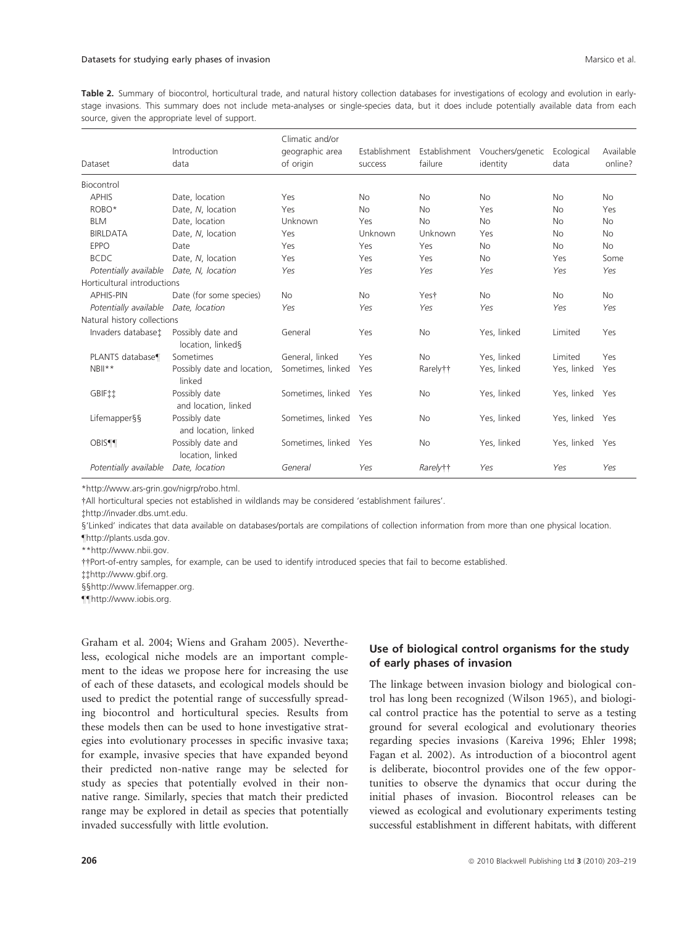Table 2. Summary of biocontrol, horticultural trade, and natural history collection databases for investigations of ecology and evolution in earlystage invasions. This summary does not include meta-analyses or single-species data, but it does include potentially available data from each source, given the appropriate level of support.

|                             | Introduction                           | Climatic and/or<br>geographic area | Establishment  | Establishment        | Vouchers/genetic | Ecological      | Available |
|-----------------------------|----------------------------------------|------------------------------------|----------------|----------------------|------------------|-----------------|-----------|
| Dataset                     | data                                   | of origin                          | <b>SUCCESS</b> | failure              | identity         | data            | online?   |
| Biocontrol                  |                                        |                                    |                |                      |                  |                 |           |
| <b>APHIS</b>                | Date, location                         | Yes                                | No             | No.                  | No.              | No              | <b>No</b> |
| ROBO*                       | Date, N, location                      | Yes                                | <b>No</b>      | <b>No</b>            | Yes              | <b>No</b>       | Yes       |
| <b>BLM</b>                  | Date, location                         | Unknown                            | Yes            | <b>No</b>            | <b>No</b>        | <b>No</b>       | <b>No</b> |
| <b>BIRLDATA</b>             | Date, N, location                      | Yes                                | Unknown        | Unknown              | Yes              | No              | <b>No</b> |
| <b>EPPO</b>                 | Date                                   | Yes                                | Yes            | Yes                  | <b>No</b>        | <b>No</b>       | <b>No</b> |
| <b>BCDC</b>                 | Date, N, location                      | Yes                                | Yes            | Yes                  | <b>No</b>        | Yes             | Some      |
| Potentially available       | Date, N, location                      | Yes                                | Yes            | Yes                  | Yes              | Yes             | Yes       |
| Horticultural introductions |                                        |                                    |                |                      |                  |                 |           |
| <b>APHIS-PIN</b>            | Date (for some species)                | No                                 | No             | Yest                 | <b>No</b>        | No              | <b>No</b> |
| Potentially available       | Date, location                         | Yes                                | Yes            | Yes                  | Yes              | Yes             | Yes       |
| Natural history collections |                                        |                                    |                |                      |                  |                 |           |
| Invaders databaset          | Possibly date and<br>location, linked§ | General                            | Yes            | No                   | Yes, linked      | Limited         | Yes       |
| PLANTS database¶            | Sometimes                              | General, linked                    | Yes            | <b>No</b>            | Yes, linked      | Limited         | Yes       |
| $NBII**$                    | Possibly date and location,<br>linked  | Sometimes, linked                  | Yes            | Rarely††             | Yes, linked      | Yes, linked     | Yes       |
| GBIF <sub>11</sub>          | Possibly date<br>and location, linked  | Sometimes, linked                  | Yes            | No.                  | Yes, linked      | Yes, linked     | Yes       |
| Lifemapper§§                | Possibly date<br>and location, linked  | Sometimes, linked                  | Yes            | <b>No</b>            | Yes, linked      | Yes, linked     | Yes       |
| OBIS <sup>T</sup>           | Possibly date and<br>location, linked  | Sometimes, linked Yes              |                | No                   | Yes, linked      | Yes, linked Yes |           |
| Potentially available       | Date, location                         | General                            | Yes            | Rarely <sup>++</sup> | Yes              | Yes             | Yes       |

\*http://www.ars-grin.gov/nigrp/robo.html.

-All horticultural species not established in wildlands may be considered 'establishment failures'.

http://invader.dbs.umt.edu.

§'Linked' indicates that data available on databases/portals are compilations of collection information from more than one physical location.

–http://plants.usda.gov.

\*\*http://www.nbii.gov.

--Port-of-entry samples, for example, can be used to identify introduced species that fail to become established.

http://www.gbif.org.

§§http://www.lifemapper.org.

––http://www.iobis.org.

Graham et al. 2004; Wiens and Graham 2005). Nevertheless, ecological niche models are an important complement to the ideas we propose here for increasing the use of each of these datasets, and ecological models should be used to predict the potential range of successfully spreading biocontrol and horticultural species. Results from these models then can be used to hone investigative strategies into evolutionary processes in specific invasive taxa; for example, invasive species that have expanded beyond their predicted non-native range may be selected for study as species that potentially evolved in their nonnative range. Similarly, species that match their predicted range may be explored in detail as species that potentially invaded successfully with little evolution.

# Use of biological control organisms for the study of early phases of invasion

The linkage between invasion biology and biological control has long been recognized (Wilson 1965), and biological control practice has the potential to serve as a testing ground for several ecological and evolutionary theories regarding species invasions (Kareiva 1996; Ehler 1998; Fagan et al. 2002). As introduction of a biocontrol agent is deliberate, biocontrol provides one of the few opportunities to observe the dynamics that occur during the initial phases of invasion. Biocontrol releases can be viewed as ecological and evolutionary experiments testing successful establishment in different habitats, with different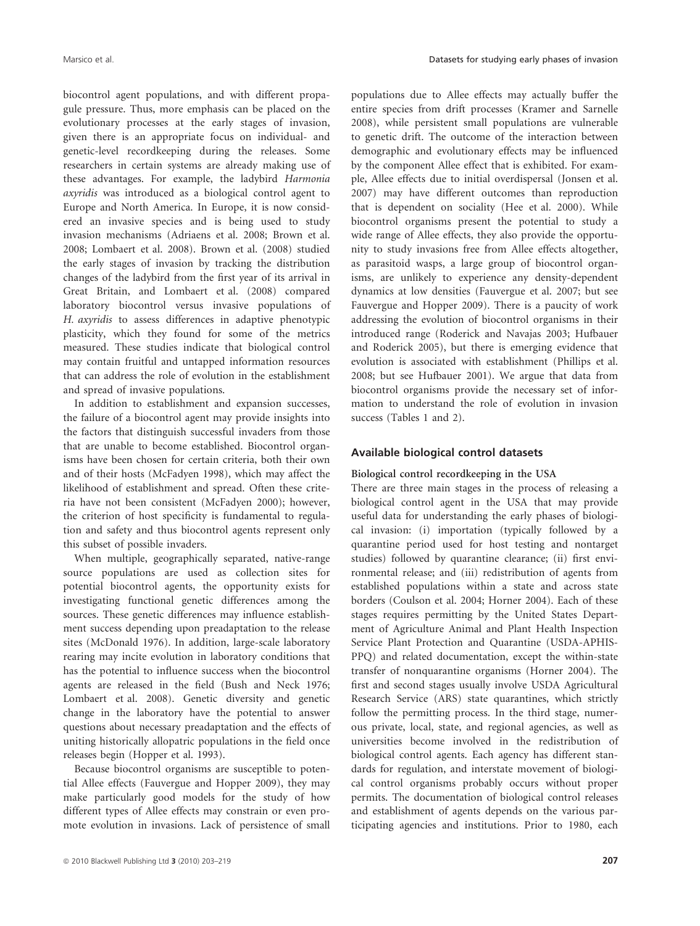biocontrol agent populations, and with different propagule pressure. Thus, more emphasis can be placed on the evolutionary processes at the early stages of invasion, given there is an appropriate focus on individual- and genetic-level recordkeeping during the releases. Some researchers in certain systems are already making use of these advantages. For example, the ladybird Harmonia axyridis was introduced as a biological control agent to Europe and North America. In Europe, it is now considered an invasive species and is being used to study invasion mechanisms (Adriaens et al. 2008; Brown et al. 2008; Lombaert et al. 2008). Brown et al. (2008) studied the early stages of invasion by tracking the distribution changes of the ladybird from the first year of its arrival in Great Britain, and Lombaert et al. (2008) compared laboratory biocontrol versus invasive populations of H. axyridis to assess differences in adaptive phenotypic plasticity, which they found for some of the metrics measured. These studies indicate that biological control may contain fruitful and untapped information resources that can address the role of evolution in the establishment and spread of invasive populations.

In addition to establishment and expansion successes, the failure of a biocontrol agent may provide insights into the factors that distinguish successful invaders from those that are unable to become established. Biocontrol organisms have been chosen for certain criteria, both their own and of their hosts (McFadyen 1998), which may affect the likelihood of establishment and spread. Often these criteria have not been consistent (McFadyen 2000); however, the criterion of host specificity is fundamental to regulation and safety and thus biocontrol agents represent only this subset of possible invaders.

When multiple, geographically separated, native-range source populations are used as collection sites for potential biocontrol agents, the opportunity exists for investigating functional genetic differences among the sources. These genetic differences may influence establishment success depending upon preadaptation to the release sites (McDonald 1976). In addition, large-scale laboratory rearing may incite evolution in laboratory conditions that has the potential to influence success when the biocontrol agents are released in the field (Bush and Neck 1976; Lombaert et al. 2008). Genetic diversity and genetic change in the laboratory have the potential to answer questions about necessary preadaptation and the effects of uniting historically allopatric populations in the field once releases begin (Hopper et al. 1993).

Because biocontrol organisms are susceptible to potential Allee effects (Fauvergue and Hopper 2009), they may make particularly good models for the study of how different types of Allee effects may constrain or even promote evolution in invasions. Lack of persistence of small populations due to Allee effects may actually buffer the entire species from drift processes (Kramer and Sarnelle 2008), while persistent small populations are vulnerable to genetic drift. The outcome of the interaction between demographic and evolutionary effects may be influenced by the component Allee effect that is exhibited. For example, Allee effects due to initial overdispersal (Jonsen et al. 2007) may have different outcomes than reproduction that is dependent on sociality (Hee et al. 2000). While biocontrol organisms present the potential to study a wide range of Allee effects, they also provide the opportunity to study invasions free from Allee effects altogether, as parasitoid wasps, a large group of biocontrol organisms, are unlikely to experience any density-dependent dynamics at low densities (Fauvergue et al. 2007; but see Fauvergue and Hopper 2009). There is a paucity of work addressing the evolution of biocontrol organisms in their introduced range (Roderick and Navajas 2003; Hufbauer and Roderick 2005), but there is emerging evidence that evolution is associated with establishment (Phillips et al. 2008; but see Hufbauer 2001). We argue that data from biocontrol organisms provide the necessary set of information to understand the role of evolution in invasion success (Tables 1 and 2).

#### Available biological control datasets

#### Biological control recordkeeping in the USA

There are three main stages in the process of releasing a biological control agent in the USA that may provide useful data for understanding the early phases of biological invasion: (i) importation (typically followed by a quarantine period used for host testing and nontarget studies) followed by quarantine clearance; (ii) first environmental release; and (iii) redistribution of agents from established populations within a state and across state borders (Coulson et al. 2004; Horner 2004). Each of these stages requires permitting by the United States Department of Agriculture Animal and Plant Health Inspection Service Plant Protection and Quarantine (USDA-APHIS-PPQ) and related documentation, except the within-state transfer of nonquarantine organisms (Horner 2004). The first and second stages usually involve USDA Agricultural Research Service (ARS) state quarantines, which strictly follow the permitting process. In the third stage, numerous private, local, state, and regional agencies, as well as universities become involved in the redistribution of biological control agents. Each agency has different standards for regulation, and interstate movement of biological control organisms probably occurs without proper permits. The documentation of biological control releases and establishment of agents depends on the various participating agencies and institutions. Prior to 1980, each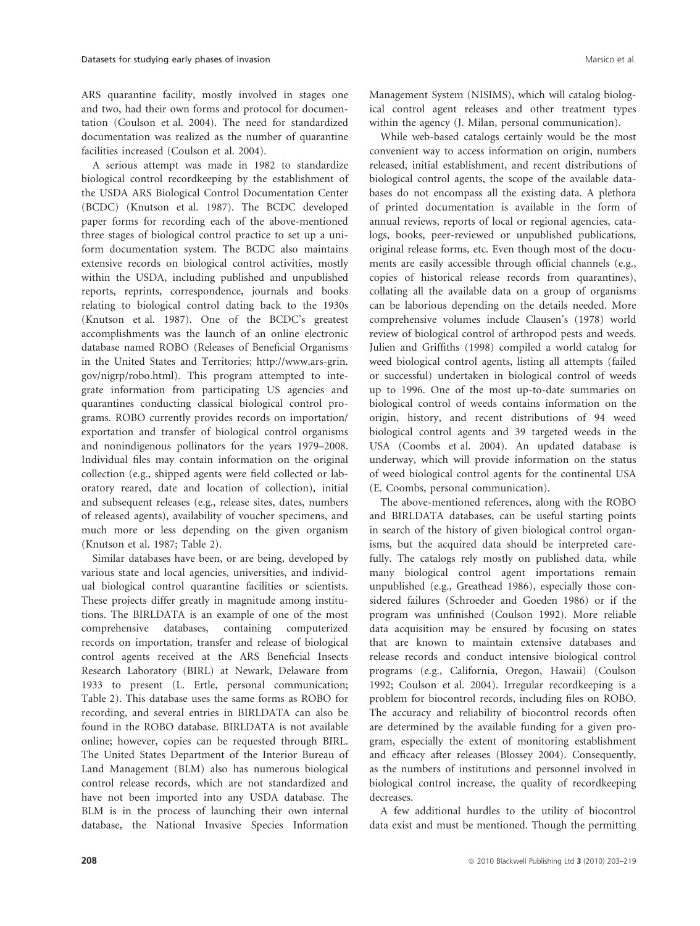ARS quarantine facility, mostly involved in stages one and two, had their own forms and protocol for documentation (Coulson et al. 2004). The need for standardized documentation was realized as the number of quarantine facilities increased (Coulson et al. 2004).

A serious attempt was made in 1982 to standardize biological control recordkeeping by the establishment of the USDA ARS Biological Control Documentation Center (BCDC) (Knutson et al. 1987). The BCDC developed paper forms for recording each of the above-mentioned three stages of biological control practice to set up a uniform documentation system. The BCDC also maintains extensive records on biological control activities, mostly within the USDA, including published and unpublished reports, reprints, correspondence, journals and books relating to biological control dating back to the 1930s (Knutson et al. 1987). One of the BCDC's greatest accomplishments was the launch of an online electronic database named ROBO (Releases of Beneficial Organisms in the United States and Territories; http://www.ars-grin. gov/nigrp/robo.html). This program attempted to integrate information from participating US agencies and quarantines conducting classical biological control programs. ROBO currently provides records on importation/ exportation and transfer of biological control organisms and nonindigenous pollinators for the years 1979–2008. Individual files may contain information on the original collection (e.g., shipped agents were field collected or laboratory reared, date and location of collection), initial and subsequent releases (e.g., release sites, dates, numbers of released agents), availability of voucher specimens, and much more or less depending on the given organism (Knutson et al. 1987; Table 2).

Similar databases have been, or are being, developed by various state and local agencies, universities, and individual biological control quarantine facilities or scientists. These projects differ greatly in magnitude among institutions. The BIRLDATA is an example of one of the most comprehensive databases, containing computerized records on importation, transfer and release of biological control agents received at the ARS Beneficial Insects Research Laboratory (BIRL) at Newark, Delaware from 1933 to present (L. Ertle, personal communication; Table 2). This database uses the same forms as ROBO for recording, and several entries in BIRLDATA can also be found in the ROBO database. BIRLDATA is not available online; however, copies can be requested through BIRL. The United States Department of the Interior Bureau of Land Management (BLM) also has numerous biological control release records, which are not standardized and have not been imported into any USDA database. The BLM is in the process of launching their own internal database, the National Invasive Species Information Management System (NISIMS), which will catalog biological control agent releases and other treatment types within the agency (J. Milan, personal communication).

While web-based catalogs certainly would be the most convenient way to access information on origin, numbers released, initial establishment, and recent distributions of biological control agents, the scope of the available databases do not encompass all the existing data. A plethora of printed documentation is available in the form of annual reviews, reports of local or regional agencies, catalogs, books, peer-reviewed or unpublished publications, original release forms, etc. Even though most of the documents are easily accessible through official channels (e.g., copies of historical release records from quarantines), collating all the available data on a group of organisms can be laborious depending on the details needed. More comprehensive volumes include Clausen's (1978) world review of biological control of arthropod pests and weeds. Julien and Griffiths (1998) compiled a world catalog for weed biological control agents, listing all attempts (failed or successful) undertaken in biological control of weeds up to 1996. One of the most up-to-date summaries on biological control of weeds contains information on the origin, history, and recent distributions of 94 weed biological control agents and 39 targeted weeds in the USA (Coombs et al. 2004). An updated database is underway, which will provide information on the status of weed biological control agents for the continental USA (E. Coombs, personal communication).

The above-mentioned references, along with the ROBO and BIRLDATA databases, can be useful starting points in search of the history of given biological control organisms, but the acquired data should be interpreted carefully. The catalogs rely mostly on published data, while many biological control agent importations remain unpublished (e.g., Greathead 1986), especially those considered failures (Schroeder and Goeden 1986) or if the program was unfinished (Coulson 1992). More reliable data acquisition may be ensured by focusing on states that are known to maintain extensive databases and release records and conduct intensive biological control programs (e.g., California, Oregon, Hawaii) (Coulson 1992; Coulson et al. 2004). Irregular recordkeeping is a problem for biocontrol records, including files on ROBO. The accuracy and reliability of biocontrol records often are determined by the available funding for a given program, especially the extent of monitoring establishment and efficacy after releases (Blossey 2004). Consequently, as the numbers of institutions and personnel involved in biological control increase, the quality of recordkeeping decreases.

A few additional hurdles to the utility of biocontrol data exist and must be mentioned. Though the permitting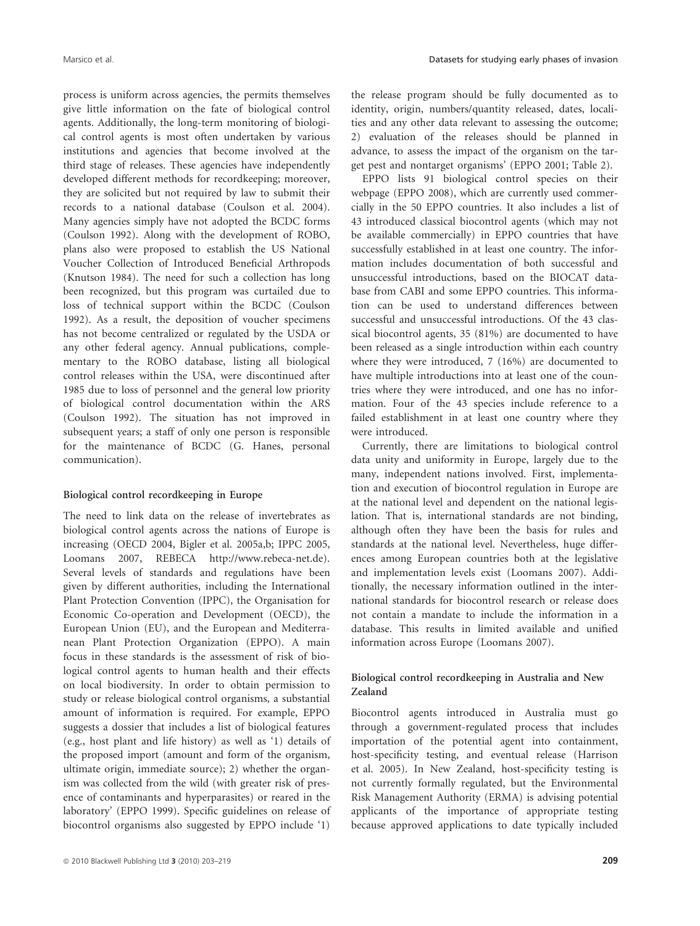process is uniform across agencies, the permits themselves give little information on the fate of biological control agents. Additionally, the long-term monitoring of biological control agents is most often undertaken by various institutions and agencies that become involved at the third stage of releases. These agencies have independently developed different methods for recordkeeping; moreover, they are solicited but not required by law to submit their records to a national database (Coulson et al. 2004). Many agencies simply have not adopted the BCDC forms (Coulson 1992). Along with the development of ROBO, plans also were proposed to establish the US National Voucher Collection of Introduced Beneficial Arthropods (Knutson 1984). The need for such a collection has long been recognized, but this program was curtailed due to loss of technical support within the BCDC (Coulson 1992). As a result, the deposition of voucher specimens has not become centralized or regulated by the USDA or any other federal agency. Annual publications, complementary to the ROBO database, listing all biological control releases within the USA, were discontinued after 1985 due to loss of personnel and the general low priority of biological control documentation within the ARS (Coulson 1992). The situation has not improved in subsequent years; a staff of only one person is responsible for the maintenance of BCDC (G. Hanes, personal communication).

#### Biological control recordkeeping in Europe

The need to link data on the release of invertebrates as biological control agents across the nations of Europe is increasing (OECD 2004, Bigler et al. 2005a,b; IPPC 2005, Loomans 2007, REBECA http://www.rebeca-net.de). Several levels of standards and regulations have been given by different authorities, including the International Plant Protection Convention (IPPC), the Organisation for Economic Co-operation and Development (OECD), the European Union (EU), and the European and Mediterranean Plant Protection Organization (EPPO). A main focus in these standards is the assessment of risk of biological control agents to human health and their effects on local biodiversity. In order to obtain permission to study or release biological control organisms, a substantial amount of information is required. For example, EPPO suggests a dossier that includes a list of biological features (e.g., host plant and life history) as well as '1) details of the proposed import (amount and form of the organism, ultimate origin, immediate source); 2) whether the organism was collected from the wild (with greater risk of presence of contaminants and hyperparasites) or reared in the laboratory' (EPPO 1999). Specific guidelines on release of biocontrol organisms also suggested by EPPO include '1)

the release program should be fully documented as to identity, origin, numbers/quantity released, dates, localities and any other data relevant to assessing the outcome; 2) evaluation of the releases should be planned in advance, to assess the impact of the organism on the target pest and nontarget organisms' (EPPO 2001; Table 2).

EPPO lists 91 biological control species on their webpage (EPPO 2008), which are currently used commercially in the 50 EPPO countries. It also includes a list of 43 introduced classical biocontrol agents (which may not be available commercially) in EPPO countries that have successfully established in at least one country. The information includes documentation of both successful and unsuccessful introductions, based on the BIOCAT database from CABI and some EPPO countries. This information can be used to understand differences between successful and unsuccessful introductions. Of the 43 classical biocontrol agents, 35 (81%) are documented to have been released as a single introduction within each country where they were introduced, 7 (16%) are documented to have multiple introductions into at least one of the countries where they were introduced, and one has no information. Four of the 43 species include reference to a failed establishment in at least one country where they were introduced.

Currently, there are limitations to biological control data unity and uniformity in Europe, largely due to the many, independent nations involved. First, implementation and execution of biocontrol regulation in Europe are at the national level and dependent on the national legislation. That is, international standards are not binding, although often they have been the basis for rules and standards at the national level. Nevertheless, huge differences among European countries both at the legislative and implementation levels exist (Loomans 2007). Additionally, the necessary information outlined in the international standards for biocontrol research or release does not contain a mandate to include the information in a database. This results in limited available and unified information across Europe (Loomans 2007).

## Biological control recordkeeping in Australia and New Zealand

Biocontrol agents introduced in Australia must go through a government-regulated process that includes importation of the potential agent into containment, host-specificity testing, and eventual release (Harrison et al. 2005). In New Zealand, host-specificity testing is not currently formally regulated, but the Environmental Risk Management Authority (ERMA) is advising potential applicants of the importance of appropriate testing because approved applications to date typically included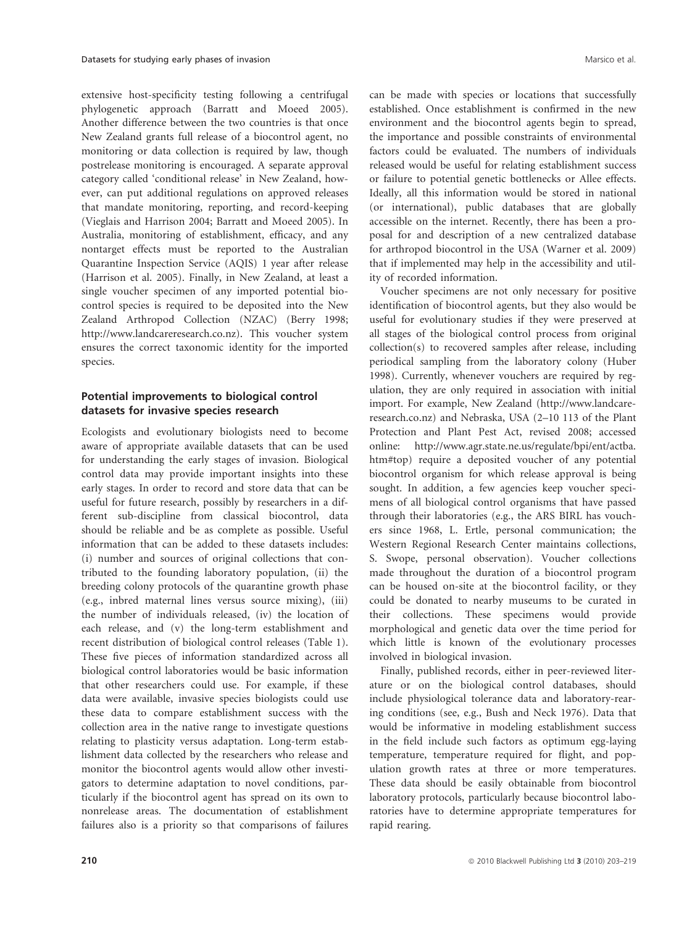extensive host-specificity testing following a centrifugal phylogenetic approach (Barratt and Moeed 2005). Another difference between the two countries is that once New Zealand grants full release of a biocontrol agent, no monitoring or data collection is required by law, though postrelease monitoring is encouraged. A separate approval category called 'conditional release' in New Zealand, however, can put additional regulations on approved releases that mandate monitoring, reporting, and record-keeping (Vieglais and Harrison 2004; Barratt and Moeed 2005). In Australia, monitoring of establishment, efficacy, and any nontarget effects must be reported to the Australian Quarantine Inspection Service (AQIS) 1 year after release (Harrison et al. 2005). Finally, in New Zealand, at least a single voucher specimen of any imported potential biocontrol species is required to be deposited into the New Zealand Arthropod Collection (NZAC) (Berry 1998; http://www.landcareresearch.co.nz). This voucher system ensures the correct taxonomic identity for the imported species.

## Potential improvements to biological control datasets for invasive species research

Ecologists and evolutionary biologists need to become aware of appropriate available datasets that can be used for understanding the early stages of invasion. Biological control data may provide important insights into these early stages. In order to record and store data that can be useful for future research, possibly by researchers in a different sub-discipline from classical biocontrol, data should be reliable and be as complete as possible. Useful information that can be added to these datasets includes: (i) number and sources of original collections that contributed to the founding laboratory population, (ii) the breeding colony protocols of the quarantine growth phase (e.g., inbred maternal lines versus source mixing), (iii) the number of individuals released, (iv) the location of each release, and (v) the long-term establishment and recent distribution of biological control releases (Table 1). These five pieces of information standardized across all biological control laboratories would be basic information that other researchers could use. For example, if these data were available, invasive species biologists could use these data to compare establishment success with the collection area in the native range to investigate questions relating to plasticity versus adaptation. Long-term establishment data collected by the researchers who release and monitor the biocontrol agents would allow other investigators to determine adaptation to novel conditions, particularly if the biocontrol agent has spread on its own to nonrelease areas. The documentation of establishment failures also is a priority so that comparisons of failures can be made with species or locations that successfully established. Once establishment is confirmed in the new environment and the biocontrol agents begin to spread, the importance and possible constraints of environmental factors could be evaluated. The numbers of individuals released would be useful for relating establishment success or failure to potential genetic bottlenecks or Allee effects. Ideally, all this information would be stored in national (or international), public databases that are globally accessible on the internet. Recently, there has been a proposal for and description of a new centralized database for arthropod biocontrol in the USA (Warner et al. 2009) that if implemented may help in the accessibility and utility of recorded information.

Voucher specimens are not only necessary for positive identification of biocontrol agents, but they also would be useful for evolutionary studies if they were preserved at all stages of the biological control process from original collection(s) to recovered samples after release, including periodical sampling from the laboratory colony (Huber 1998). Currently, whenever vouchers are required by regulation, they are only required in association with initial import. For example, New Zealand (http://www.landcareresearch.co.nz) and Nebraska, USA (2–10 113 of the Plant Protection and Plant Pest Act, revised 2008; accessed online: http://www.agr.state.ne.us/regulate/bpi/ent/actba. htm#top) require a deposited voucher of any potential biocontrol organism for which release approval is being sought. In addition, a few agencies keep voucher specimens of all biological control organisms that have passed through their laboratories (e.g., the ARS BIRL has vouchers since 1968, L. Ertle, personal communication; the Western Regional Research Center maintains collections, S. Swope, personal observation). Voucher collections made throughout the duration of a biocontrol program can be housed on-site at the biocontrol facility, or they could be donated to nearby museums to be curated in their collections. These specimens would provide morphological and genetic data over the time period for which little is known of the evolutionary processes involved in biological invasion.

Finally, published records, either in peer-reviewed literature or on the biological control databases, should include physiological tolerance data and laboratory-rearing conditions (see, e.g., Bush and Neck 1976). Data that would be informative in modeling establishment success in the field include such factors as optimum egg-laying temperature, temperature required for flight, and population growth rates at three or more temperatures. These data should be easily obtainable from biocontrol laboratory protocols, particularly because biocontrol laboratories have to determine appropriate temperatures for rapid rearing.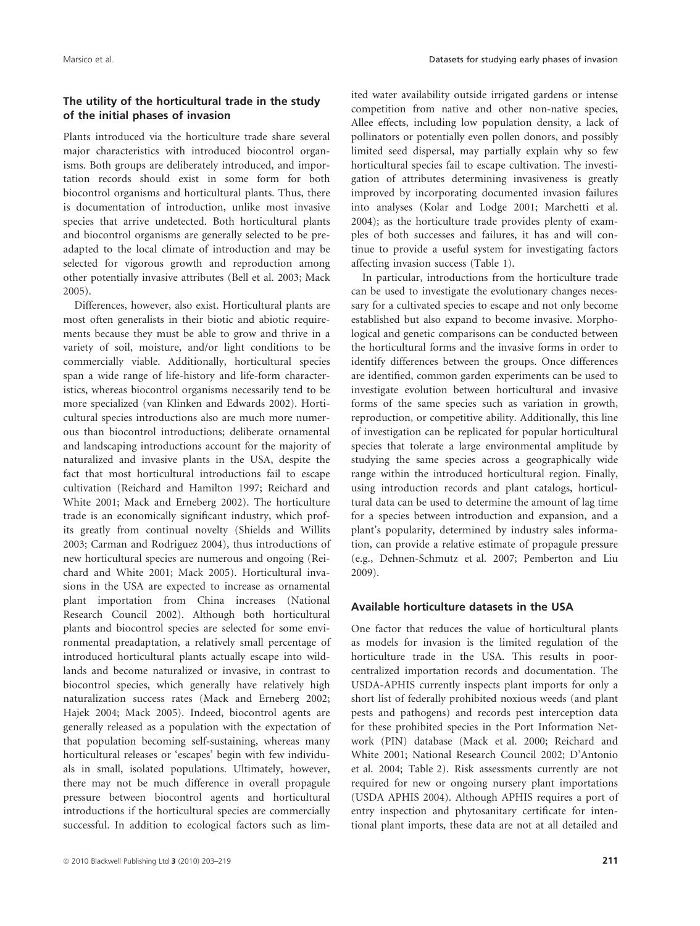## The utility of the horticultural trade in the study of the initial phases of invasion

Plants introduced via the horticulture trade share several major characteristics with introduced biocontrol organisms. Both groups are deliberately introduced, and importation records should exist in some form for both biocontrol organisms and horticultural plants. Thus, there is documentation of introduction, unlike most invasive species that arrive undetected. Both horticultural plants and biocontrol organisms are generally selected to be preadapted to the local climate of introduction and may be selected for vigorous growth and reproduction among other potentially invasive attributes (Bell et al. 2003; Mack 2005).

Differences, however, also exist. Horticultural plants are most often generalists in their biotic and abiotic requirements because they must be able to grow and thrive in a variety of soil, moisture, and/or light conditions to be commercially viable. Additionally, horticultural species span a wide range of life-history and life-form characteristics, whereas biocontrol organisms necessarily tend to be more specialized (van Klinken and Edwards 2002). Horticultural species introductions also are much more numerous than biocontrol introductions; deliberate ornamental and landscaping introductions account for the majority of naturalized and invasive plants in the USA, despite the fact that most horticultural introductions fail to escape cultivation (Reichard and Hamilton 1997; Reichard and White 2001; Mack and Erneberg 2002). The horticulture trade is an economically significant industry, which profits greatly from continual novelty (Shields and Willits 2003; Carman and Rodriguez 2004), thus introductions of new horticultural species are numerous and ongoing (Reichard and White 2001; Mack 2005). Horticultural invasions in the USA are expected to increase as ornamental plant importation from China increases (National Research Council 2002). Although both horticultural plants and biocontrol species are selected for some environmental preadaptation, a relatively small percentage of introduced horticultural plants actually escape into wildlands and become naturalized or invasive, in contrast to biocontrol species, which generally have relatively high naturalization success rates (Mack and Erneberg 2002; Hajek 2004; Mack 2005). Indeed, biocontrol agents are generally released as a population with the expectation of that population becoming self-sustaining, whereas many horticultural releases or 'escapes' begin with few individuals in small, isolated populations. Ultimately, however, there may not be much difference in overall propagule pressure between biocontrol agents and horticultural introductions if the horticultural species are commercially successful. In addition to ecological factors such as limited water availability outside irrigated gardens or intense competition from native and other non-native species, Allee effects, including low population density, a lack of pollinators or potentially even pollen donors, and possibly limited seed dispersal, may partially explain why so few horticultural species fail to escape cultivation. The investigation of attributes determining invasiveness is greatly improved by incorporating documented invasion failures into analyses (Kolar and Lodge 2001; Marchetti et al. 2004); as the horticulture trade provides plenty of examples of both successes and failures, it has and will continue to provide a useful system for investigating factors affecting invasion success (Table 1).

In particular, introductions from the horticulture trade can be used to investigate the evolutionary changes necessary for a cultivated species to escape and not only become established but also expand to become invasive. Morphological and genetic comparisons can be conducted between the horticultural forms and the invasive forms in order to identify differences between the groups. Once differences are identified, common garden experiments can be used to investigate evolution between horticultural and invasive forms of the same species such as variation in growth, reproduction, or competitive ability. Additionally, this line of investigation can be replicated for popular horticultural species that tolerate a large environmental amplitude by studying the same species across a geographically wide range within the introduced horticultural region. Finally, using introduction records and plant catalogs, horticultural data can be used to determine the amount of lag time for a species between introduction and expansion, and a plant's popularity, determined by industry sales information, can provide a relative estimate of propagule pressure (e.g., Dehnen-Schmutz et al. 2007; Pemberton and Liu 2009).

#### Available horticulture datasets in the USA

One factor that reduces the value of horticultural plants as models for invasion is the limited regulation of the horticulture trade in the USA. This results in poorcentralized importation records and documentation. The USDA-APHIS currently inspects plant imports for only a short list of federally prohibited noxious weeds (and plant pests and pathogens) and records pest interception data for these prohibited species in the Port Information Network (PIN) database (Mack et al. 2000; Reichard and White 2001; National Research Council 2002; D'Antonio et al. 2004; Table 2). Risk assessments currently are not required for new or ongoing nursery plant importations (USDA APHIS 2004). Although APHIS requires a port of entry inspection and phytosanitary certificate for intentional plant imports, these data are not at all detailed and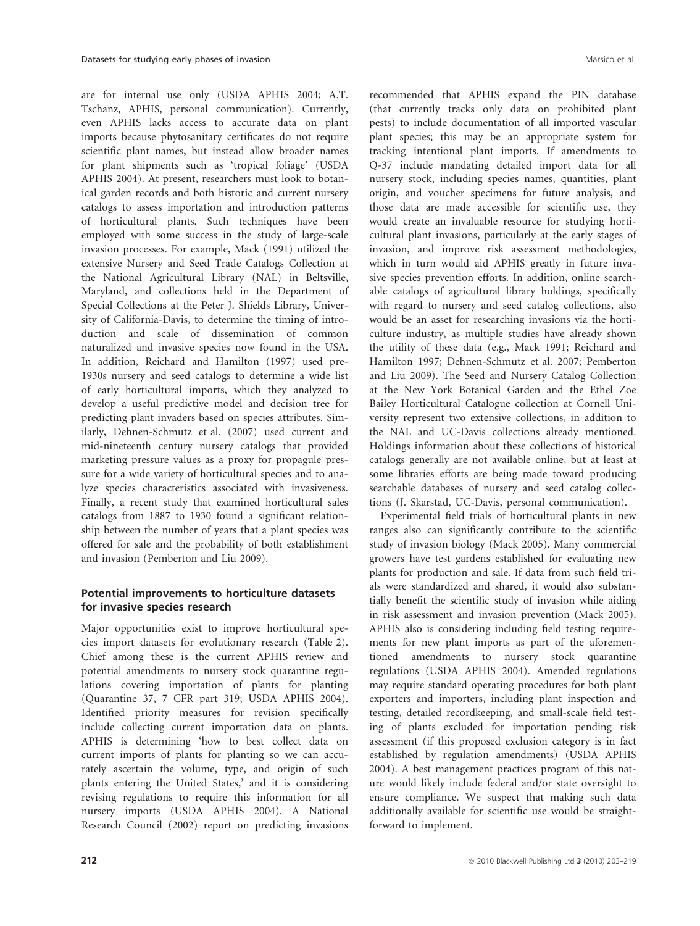are for internal use only (USDA APHIS 2004; A.T. Tschanz, APHIS, personal communication). Currently, even APHIS lacks access to accurate data on plant imports because phytosanitary certificates do not require scientific plant names, but instead allow broader names for plant shipments such as 'tropical foliage' (USDA APHIS 2004). At present, researchers must look to botanical garden records and both historic and current nursery catalogs to assess importation and introduction patterns of horticultural plants. Such techniques have been employed with some success in the study of large-scale invasion processes. For example, Mack (1991) utilized the extensive Nursery and Seed Trade Catalogs Collection at the National Agricultural Library (NAL) in Beltsville, Maryland, and collections held in the Department of Special Collections at the Peter J. Shields Library, University of California-Davis, to determine the timing of introduction and scale of dissemination of common naturalized and invasive species now found in the USA. In addition, Reichard and Hamilton (1997) used pre-1930s nursery and seed catalogs to determine a wide list of early horticultural imports, which they analyzed to develop a useful predictive model and decision tree for predicting plant invaders based on species attributes. Similarly, Dehnen-Schmutz et al. (2007) used current and mid-nineteenth century nursery catalogs that provided marketing pressure values as a proxy for propagule pressure for a wide variety of horticultural species and to analyze species characteristics associated with invasiveness. Finally, a recent study that examined horticultural sales catalogs from 1887 to 1930 found a significant relationship between the number of years that a plant species was offered for sale and the probability of both establishment and invasion (Pemberton and Liu 2009).

## Potential improvements to horticulture datasets for invasive species research

Major opportunities exist to improve horticultural species import datasets for evolutionary research (Table 2). Chief among these is the current APHIS review and potential amendments to nursery stock quarantine regulations covering importation of plants for planting (Quarantine 37, 7 CFR part 319; USDA APHIS 2004). Identified priority measures for revision specifically include collecting current importation data on plants. APHIS is determining 'how to best collect data on current imports of plants for planting so we can accurately ascertain the volume, type, and origin of such plants entering the United States,' and it is considering revising regulations to require this information for all nursery imports (USDA APHIS 2004). A National Research Council (2002) report on predicting invasions recommended that APHIS expand the PIN database (that currently tracks only data on prohibited plant pests) to include documentation of all imported vascular plant species; this may be an appropriate system for tracking intentional plant imports. If amendments to Q-37 include mandating detailed import data for all nursery stock, including species names, quantities, plant origin, and voucher specimens for future analysis, and those data are made accessible for scientific use, they would create an invaluable resource for studying horticultural plant invasions, particularly at the early stages of invasion, and improve risk assessment methodologies, which in turn would aid APHIS greatly in future invasive species prevention efforts. In addition, online searchable catalogs of agricultural library holdings, specifically with regard to nursery and seed catalog collections, also would be an asset for researching invasions via the horticulture industry, as multiple studies have already shown the utility of these data (e.g., Mack 1991; Reichard and Hamilton 1997; Dehnen-Schmutz et al. 2007; Pemberton and Liu 2009). The Seed and Nursery Catalog Collection at the New York Botanical Garden and the Ethel Zoe Bailey Horticultural Catalogue collection at Cornell University represent two extensive collections, in addition to the NAL and UC-Davis collections already mentioned. Holdings information about these collections of historical catalogs generally are not available online, but at least at some libraries efforts are being made toward producing searchable databases of nursery and seed catalog collections (J. Skarstad, UC-Davis, personal communication).

Experimental field trials of horticultural plants in new ranges also can significantly contribute to the scientific study of invasion biology (Mack 2005). Many commercial growers have test gardens established for evaluating new plants for production and sale. If data from such field trials were standardized and shared, it would also substantially benefit the scientific study of invasion while aiding in risk assessment and invasion prevention (Mack 2005). APHIS also is considering including field testing requirements for new plant imports as part of the aforementioned amendments to nursery stock quarantine regulations (USDA APHIS 2004). Amended regulations may require standard operating procedures for both plant exporters and importers, including plant inspection and testing, detailed recordkeeping, and small-scale field testing of plants excluded for importation pending risk assessment (if this proposed exclusion category is in fact established by regulation amendments) (USDA APHIS 2004). A best management practices program of this nature would likely include federal and/or state oversight to ensure compliance. We suspect that making such data additionally available for scientific use would be straightforward to implement.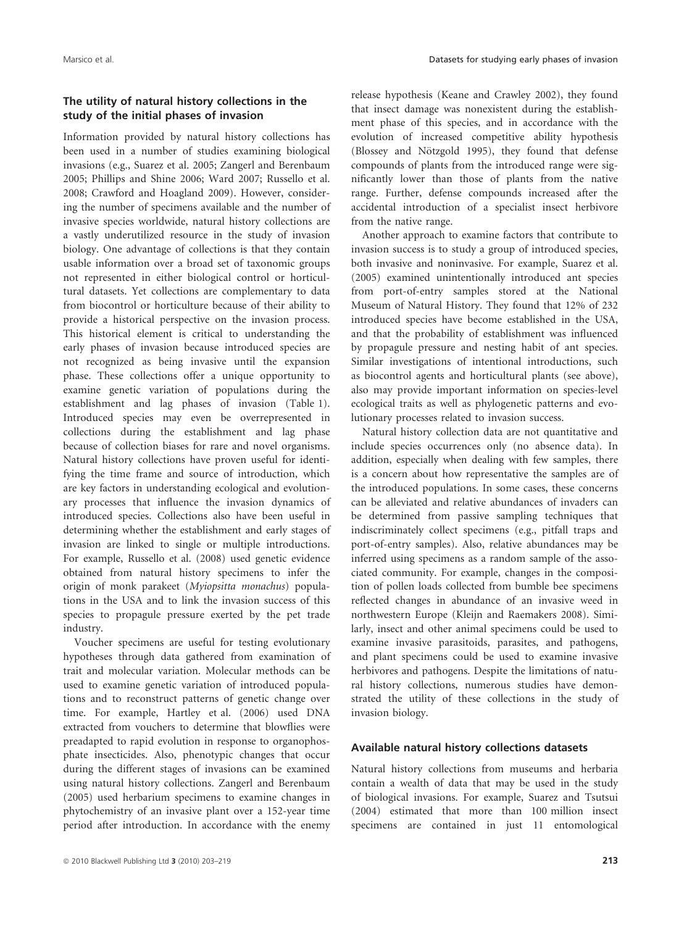## The utility of natural history collections in the study of the initial phases of invasion

Information provided by natural history collections has been used in a number of studies examining biological invasions (e.g., Suarez et al. 2005; Zangerl and Berenbaum 2005; Phillips and Shine 2006; Ward 2007; Russello et al. 2008; Crawford and Hoagland 2009). However, considering the number of specimens available and the number of invasive species worldwide, natural history collections are a vastly underutilized resource in the study of invasion biology. One advantage of collections is that they contain usable information over a broad set of taxonomic groups not represented in either biological control or horticultural datasets. Yet collections are complementary to data from biocontrol or horticulture because of their ability to provide a historical perspective on the invasion process. This historical element is critical to understanding the early phases of invasion because introduced species are not recognized as being invasive until the expansion phase. These collections offer a unique opportunity to examine genetic variation of populations during the establishment and lag phases of invasion (Table 1). Introduced species may even be overrepresented in collections during the establishment and lag phase because of collection biases for rare and novel organisms. Natural history collections have proven useful for identifying the time frame and source of introduction, which are key factors in understanding ecological and evolutionary processes that influence the invasion dynamics of introduced species. Collections also have been useful in determining whether the establishment and early stages of invasion are linked to single or multiple introductions. For example, Russello et al. (2008) used genetic evidence obtained from natural history specimens to infer the origin of monk parakeet (Myiopsitta monachus) populations in the USA and to link the invasion success of this species to propagule pressure exerted by the pet trade industry.

Voucher specimens are useful for testing evolutionary hypotheses through data gathered from examination of trait and molecular variation. Molecular methods can be used to examine genetic variation of introduced populations and to reconstruct patterns of genetic change over time. For example, Hartley et al. (2006) used DNA extracted from vouchers to determine that blowflies were preadapted to rapid evolution in response to organophosphate insecticides. Also, phenotypic changes that occur during the different stages of invasions can be examined using natural history collections. Zangerl and Berenbaum (2005) used herbarium specimens to examine changes in phytochemistry of an invasive plant over a 152-year time period after introduction. In accordance with the enemy release hypothesis (Keane and Crawley 2002), they found that insect damage was nonexistent during the establishment phase of this species, and in accordance with the evolution of increased competitive ability hypothesis (Blossey and Nötzgold 1995), they found that defense compounds of plants from the introduced range were significantly lower than those of plants from the native range. Further, defense compounds increased after the accidental introduction of a specialist insect herbivore from the native range.

Another approach to examine factors that contribute to invasion success is to study a group of introduced species, both invasive and noninvasive. For example, Suarez et al. (2005) examined unintentionally introduced ant species from port-of-entry samples stored at the National Museum of Natural History. They found that 12% of 232 introduced species have become established in the USA, and that the probability of establishment was influenced by propagule pressure and nesting habit of ant species. Similar investigations of intentional introductions, such as biocontrol agents and horticultural plants (see above), also may provide important information on species-level ecological traits as well as phylogenetic patterns and evolutionary processes related to invasion success.

Natural history collection data are not quantitative and include species occurrences only (no absence data). In addition, especially when dealing with few samples, there is a concern about how representative the samples are of the introduced populations. In some cases, these concerns can be alleviated and relative abundances of invaders can be determined from passive sampling techniques that indiscriminately collect specimens (e.g., pitfall traps and port-of-entry samples). Also, relative abundances may be inferred using specimens as a random sample of the associated community. For example, changes in the composition of pollen loads collected from bumble bee specimens reflected changes in abundance of an invasive weed in northwestern Europe (Kleijn and Raemakers 2008). Similarly, insect and other animal specimens could be used to examine invasive parasitoids, parasites, and pathogens, and plant specimens could be used to examine invasive herbivores and pathogens. Despite the limitations of natural history collections, numerous studies have demonstrated the utility of these collections in the study of invasion biology.

## Available natural history collections datasets

Natural history collections from museums and herbaria contain a wealth of data that may be used in the study of biological invasions. For example, Suarez and Tsutsui (2004) estimated that more than 100 million insect specimens are contained in just 11 entomological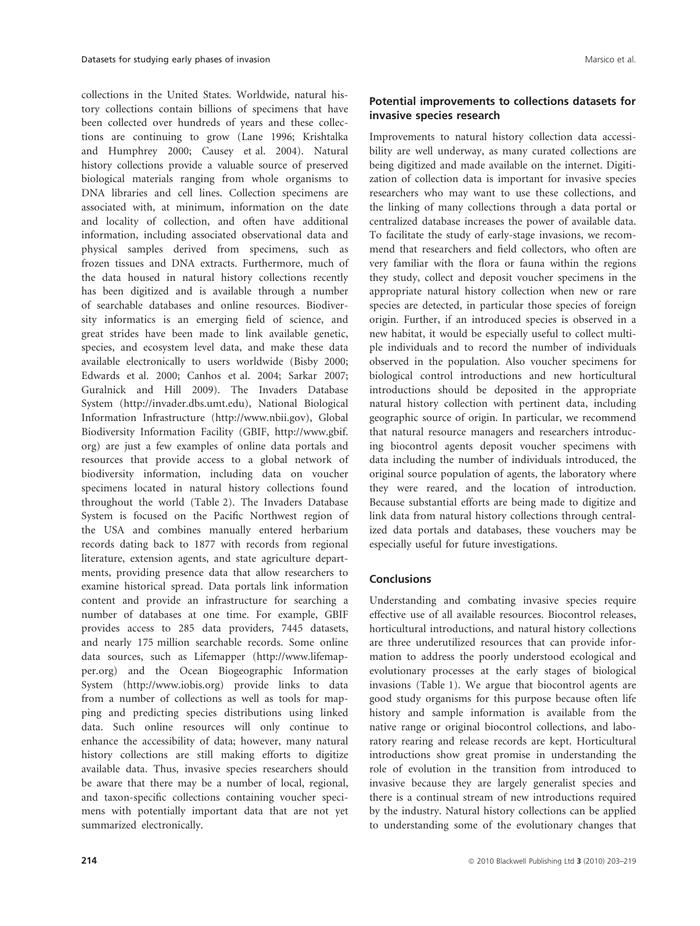collections in the United States. Worldwide, natural history collections contain billions of specimens that have been collected over hundreds of years and these collections are continuing to grow (Lane 1996; Krishtalka and Humphrey 2000; Causey et al. 2004). Natural history collections provide a valuable source of preserved biological materials ranging from whole organisms to DNA libraries and cell lines. Collection specimens are associated with, at minimum, information on the date and locality of collection, and often have additional information, including associated observational data and physical samples derived from specimens, such as frozen tissues and DNA extracts. Furthermore, much of the data housed in natural history collections recently has been digitized and is available through a number of searchable databases and online resources. Biodiversity informatics is an emerging field of science, and great strides have been made to link available genetic, species, and ecosystem level data, and make these data available electronically to users worldwide (Bisby 2000; Edwards et al. 2000; Canhos et al. 2004; Sarkar 2007; Guralnick and Hill 2009). The Invaders Database System (http://invader.dbs.umt.edu), National Biological Information Infrastructure (http://www.nbii.gov), Global Biodiversity Information Facility (GBIF, http://www.gbif. org) are just a few examples of online data portals and resources that provide access to a global network of biodiversity information, including data on voucher specimens located in natural history collections found throughout the world (Table 2). The Invaders Database System is focused on the Pacific Northwest region of the USA and combines manually entered herbarium records dating back to 1877 with records from regional literature, extension agents, and state agriculture departments, providing presence data that allow researchers to examine historical spread. Data portals link information content and provide an infrastructure for searching a number of databases at one time. For example, GBIF provides access to 285 data providers, 7445 datasets, and nearly 175 million searchable records. Some online data sources, such as Lifemapper (http://www.lifemapper.org) and the Ocean Biogeographic Information System (http://www.iobis.org) provide links to data from a number of collections as well as tools for mapping and predicting species distributions using linked data. Such online resources will only continue to enhance the accessibility of data; however, many natural history collections are still making efforts to digitize available data. Thus, invasive species researchers should be aware that there may be a number of local, regional, and taxon-specific collections containing voucher specimens with potentially important data that are not yet summarized electronically.

## Potential improvements to collections datasets for invasive species research

Improvements to natural history collection data accessibility are well underway, as many curated collections are being digitized and made available on the internet. Digitization of collection data is important for invasive species researchers who may want to use these collections, and the linking of many collections through a data portal or centralized database increases the power of available data. To facilitate the study of early-stage invasions, we recommend that researchers and field collectors, who often are very familiar with the flora or fauna within the regions they study, collect and deposit voucher specimens in the appropriate natural history collection when new or rare species are detected, in particular those species of foreign origin. Further, if an introduced species is observed in a new habitat, it would be especially useful to collect multiple individuals and to record the number of individuals observed in the population. Also voucher specimens for biological control introductions and new horticultural introductions should be deposited in the appropriate natural history collection with pertinent data, including geographic source of origin. In particular, we recommend that natural resource managers and researchers introducing biocontrol agents deposit voucher specimens with data including the number of individuals introduced, the original source population of agents, the laboratory where they were reared, and the location of introduction. Because substantial efforts are being made to digitize and link data from natural history collections through centralized data portals and databases, these vouchers may be especially useful for future investigations.

#### **Conclusions**

Understanding and combating invasive species require effective use of all available resources. Biocontrol releases, horticultural introductions, and natural history collections are three underutilized resources that can provide information to address the poorly understood ecological and evolutionary processes at the early stages of biological invasions (Table 1). We argue that biocontrol agents are good study organisms for this purpose because often life history and sample information is available from the native range or original biocontrol collections, and laboratory rearing and release records are kept. Horticultural introductions show great promise in understanding the role of evolution in the transition from introduced to invasive because they are largely generalist species and there is a continual stream of new introductions required by the industry. Natural history collections can be applied to understanding some of the evolutionary changes that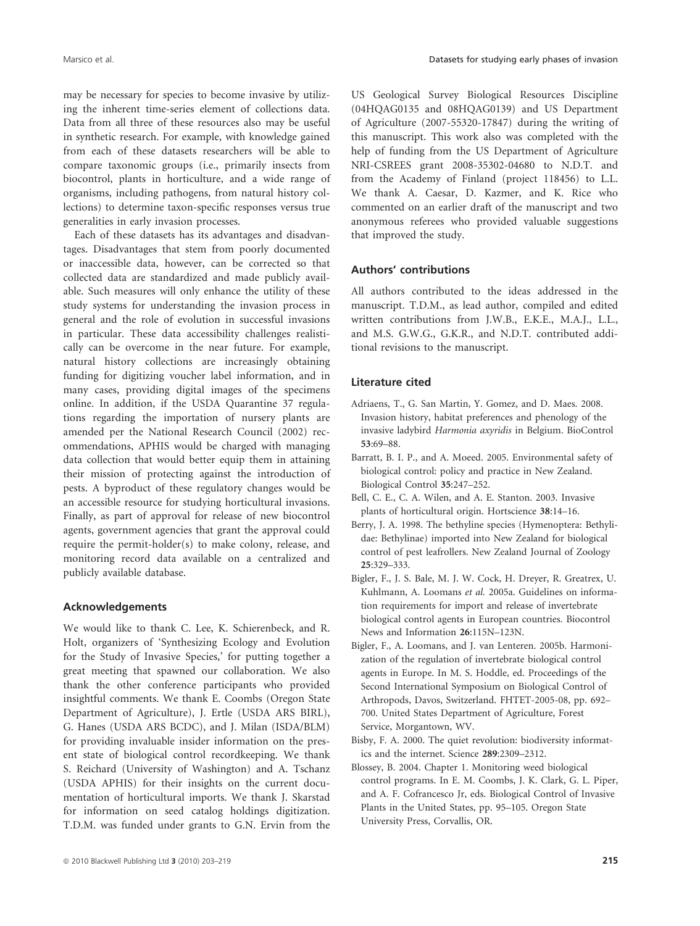may be necessary for species to become invasive by utilizing the inherent time-series element of collections data. Data from all three of these resources also may be useful in synthetic research. For example, with knowledge gained from each of these datasets researchers will be able to compare taxonomic groups (i.e., primarily insects from biocontrol, plants in horticulture, and a wide range of organisms, including pathogens, from natural history collections) to determine taxon-specific responses versus true generalities in early invasion processes.

Each of these datasets has its advantages and disadvantages. Disadvantages that stem from poorly documented or inaccessible data, however, can be corrected so that collected data are standardized and made publicly available. Such measures will only enhance the utility of these study systems for understanding the invasion process in general and the role of evolution in successful invasions in particular. These data accessibility challenges realistically can be overcome in the near future. For example, natural history collections are increasingly obtaining funding for digitizing voucher label information, and in many cases, providing digital images of the specimens online. In addition, if the USDA Quarantine 37 regulations regarding the importation of nursery plants are amended per the National Research Council (2002) recommendations, APHIS would be charged with managing data collection that would better equip them in attaining their mission of protecting against the introduction of pests. A byproduct of these regulatory changes would be an accessible resource for studying horticultural invasions. Finally, as part of approval for release of new biocontrol agents, government agencies that grant the approval could require the permit-holder(s) to make colony, release, and monitoring record data available on a centralized and publicly available database.

#### Acknowledgements

We would like to thank C. Lee, K. Schierenbeck, and R. Holt, organizers of 'Synthesizing Ecology and Evolution for the Study of Invasive Species,' for putting together a great meeting that spawned our collaboration. We also thank the other conference participants who provided insightful comments. We thank E. Coombs (Oregon State Department of Agriculture), J. Ertle (USDA ARS BIRL), G. Hanes (USDA ARS BCDC), and J. Milan (ISDA/BLM) for providing invaluable insider information on the present state of biological control recordkeeping. We thank S. Reichard (University of Washington) and A. Tschanz (USDA APHIS) for their insights on the current documentation of horticultural imports. We thank J. Skarstad for information on seed catalog holdings digitization. T.D.M. was funded under grants to G.N. Ervin from the US Geological Survey Biological Resources Discipline (04HQAG0135 and 08HQAG0139) and US Department of Agriculture (2007-55320-17847) during the writing of this manuscript. This work also was completed with the help of funding from the US Department of Agriculture NRI-CSREES grant 2008-35302-04680 to N.D.T. and from the Academy of Finland (project 118456) to L.L. We thank A. Caesar, D. Kazmer, and K. Rice who commented on an earlier draft of the manuscript and two anonymous referees who provided valuable suggestions that improved the study.

#### Authors' contributions

All authors contributed to the ideas addressed in the manuscript. T.D.M., as lead author, compiled and edited written contributions from J.W.B., E.K.E., M.A.J., L.L., and M.S. G.W.G., G.K.R., and N.D.T. contributed additional revisions to the manuscript.

#### Literature cited

- Adriaens, T., G. San Martin, Y. Gomez, and D. Maes. 2008. Invasion history, habitat preferences and phenology of the invasive ladybird Harmonia axyridis in Belgium. BioControl 53:69–88.
- Barratt, B. I. P., and A. Moeed. 2005. Environmental safety of biological control: policy and practice in New Zealand. Biological Control 35:247–252.
- Bell, C. E., C. A. Wilen, and A. E. Stanton. 2003. Invasive plants of horticultural origin. Hortscience 38:14–16.
- Berry, J. A. 1998. The bethyline species (Hymenoptera: Bethylidae: Bethylinae) imported into New Zealand for biological control of pest leafrollers. New Zealand Journal of Zoology 25:329–333.
- Bigler, F., J. S. Bale, M. J. W. Cock, H. Dreyer, R. Greatrex, U. Kuhlmann, A. Loomans et al. 2005a. Guidelines on information requirements for import and release of invertebrate biological control agents in European countries. Biocontrol News and Information 26:115N–123N.
- Bigler, F., A. Loomans, and J. van Lenteren. 2005b. Harmonization of the regulation of invertebrate biological control agents in Europe. In M. S. Hoddle, ed. Proceedings of the Second International Symposium on Biological Control of Arthropods, Davos, Switzerland. FHTET-2005-08, pp. 692– 700. United States Department of Agriculture, Forest Service, Morgantown, WV.
- Bisby, F. A. 2000. The quiet revolution: biodiversity informatics and the internet. Science 289:2309–2312.
- Blossey, B. 2004. Chapter 1. Monitoring weed biological control programs. In E. M. Coombs, J. K. Clark, G. L. Piper, and A. F. Cofrancesco Jr, eds. Biological Control of Invasive Plants in the United States, pp. 95–105. Oregon State University Press, Corvallis, OR.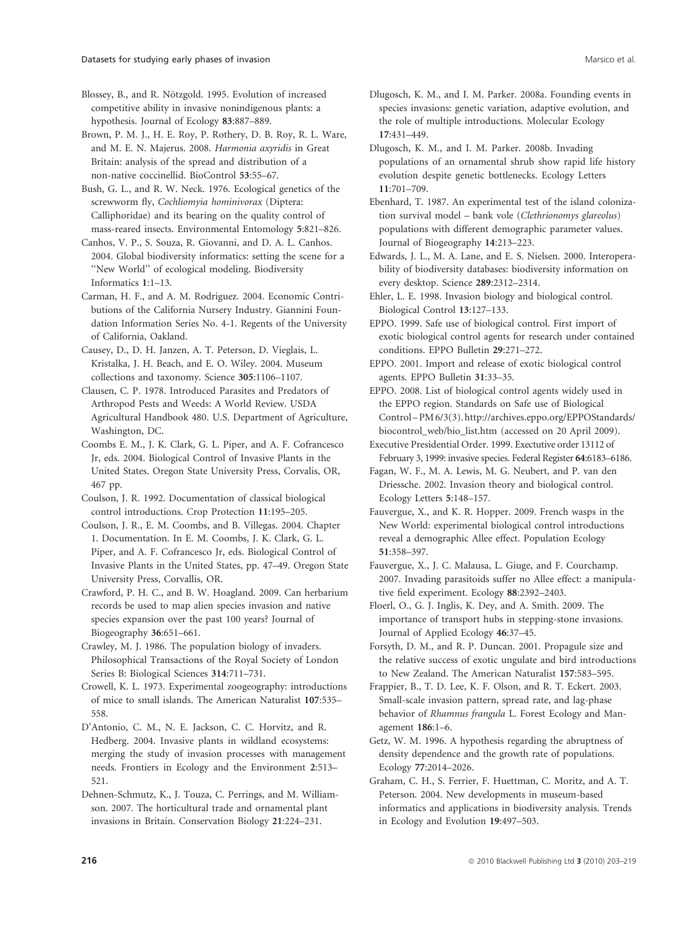Blossey, B., and R. Nötzgold. 1995. Evolution of increased competitive ability in invasive nonindigenous plants: a hypothesis. Journal of Ecology 83:887–889.

Brown, P. M. J., H. E. Roy, P. Rothery, D. B. Roy, R. L. Ware, and M. E. N. Majerus. 2008. Harmonia axyridis in Great Britain: analysis of the spread and distribution of a non-native coccinellid. BioControl 53:55–67.

Bush, G. L., and R. W. Neck. 1976. Ecological genetics of the screwworm fly, Cochliomyia hominivorax (Diptera: Calliphoridae) and its bearing on the quality control of mass-reared insects. Environmental Entomology 5:821–826.

Canhos, V. P., S. Souza, R. Giovanni, and D. A. L. Canhos. 2004. Global biodiversity informatics: setting the scene for a ''New World'' of ecological modeling. Biodiversity Informatics 1:1–13.

Carman, H. F., and A. M. Rodriguez. 2004. Economic Contributions of the California Nursery Industry. Giannini Foundation Information Series No. 4-1. Regents of the University of California, Oakland.

Causey, D., D. H. Janzen, A. T. Peterson, D. Vieglais, L. Kristalka, J. H. Beach, and E. O. Wiley. 2004. Museum collections and taxonomy. Science 305:1106–1107.

Clausen, C. P. 1978. Introduced Parasites and Predators of Arthropod Pests and Weeds: A World Review. USDA Agricultural Handbook 480. U.S. Department of Agriculture, Washington, DC.

Coombs E. M., J. K. Clark, G. L. Piper, and A. F. Cofrancesco Jr, eds. 2004. Biological Control of Invasive Plants in the United States. Oregon State University Press, Corvalis, OR, 467 pp.

Coulson, J. R. 1992. Documentation of classical biological control introductions. Crop Protection 11:195–205.

Coulson, J. R., E. M. Coombs, and B. Villegas. 2004. Chapter 1. Documentation. In E. M. Coombs, J. K. Clark, G. L. Piper, and A. F. Cofrancesco Jr, eds. Biological Control of Invasive Plants in the United States, pp. 47–49. Oregon State University Press, Corvallis, OR.

Crawford, P. H. C., and B. W. Hoagland. 2009. Can herbarium records be used to map alien species invasion and native species expansion over the past 100 years? Journal of Biogeography 36:651–661.

Crawley, M. J. 1986. The population biology of invaders. Philosophical Transactions of the Royal Society of London Series B: Biological Sciences 314:711–731.

Crowell, K. L. 1973. Experimental zoogeography: introductions of mice to small islands. The American Naturalist 107:535– 558.

D'Antonio, C. M., N. E. Jackson, C. C. Horvitz, and R. Hedberg. 2004. Invasive plants in wildland ecosystems: merging the study of invasion processes with management needs. Frontiers in Ecology and the Environment 2:513– 521.

Dehnen-Schmutz, K., J. Touza, C. Perrings, and M. Williamson. 2007. The horticultural trade and ornamental plant invasions in Britain. Conservation Biology 21:224–231.

Dlugosch, K. M., and I. M. Parker. 2008a. Founding events in species invasions: genetic variation, adaptive evolution, and the role of multiple introductions. Molecular Ecology 17:431–449.

Dlugosch, K. M., and I. M. Parker. 2008b. Invading populations of an ornamental shrub show rapid life history evolution despite genetic bottlenecks. Ecology Letters 11:701–709.

Ebenhard, T. 1987. An experimental test of the island colonization survival model – bank vole (Clethrionomys glareolus) populations with different demographic parameter values. Journal of Biogeography 14:213–223.

Edwards, J. L., M. A. Lane, and E. S. Nielsen. 2000. Interoperability of biodiversity databases: biodiversity information on every desktop. Science 289:2312–2314.

Ehler, L. E. 1998. Invasion biology and biological control. Biological Control 13:127–133.

EPPO. 1999. Safe use of biological control. First import of exotic biological control agents for research under contained conditions. EPPO Bulletin 29:271–272.

EPPO. 2001. Import and release of exotic biological control agents. EPPO Bulletin 31:33–35.

EPPO. 2008. List of biological control agents widely used in the EPPO region. Standards on Safe use of Biological Control – PM 6/3(3). http://archives.eppo.org/EPPOStandards/ biocontrol\_web/bio\_list.htm (accessed on 20 April 2009).

Executive Presidential Order. 1999. Exectutive order 13112 of February 3, 1999: invasive species. Federal Register 64:6183–6186.

Fagan, W. F., M. A. Lewis, M. G. Neubert, and P. van den Driessche. 2002. Invasion theory and biological control. Ecology Letters 5:148–157.

Fauvergue, X., and K. R. Hopper. 2009. French wasps in the New World: experimental biological control introductions reveal a demographic Allee effect. Population Ecology 51:358–397.

Fauvergue, X., J. C. Malausa, L. Giuge, and F. Courchamp. 2007. Invading parasitoids suffer no Allee effect: a manipulative field experiment. Ecology 88:2392–2403.

Floerl, O., G. J. Inglis, K. Dey, and A. Smith. 2009. The importance of transport hubs in stepping-stone invasions. Journal of Applied Ecology 46:37–45.

Forsyth, D. M., and R. P. Duncan. 2001. Propagule size and the relative success of exotic ungulate and bird introductions to New Zealand. The American Naturalist 157:583–595.

Frappier, B., T. D. Lee, K. F. Olson, and R. T. Eckert. 2003. Small-scale invasion pattern, spread rate, and lag-phase behavior of Rhamnus frangula L. Forest Ecology and Management 186:1–6.

Getz, W. M. 1996. A hypothesis regarding the abruptness of density dependence and the growth rate of populations. Ecology 77:2014–2026.

Graham, C. H., S. Ferrier, F. Huettman, C. Moritz, and A. T. Peterson. 2004. New developments in museum-based informatics and applications in biodiversity analysis. Trends in Ecology and Evolution 19:497–503.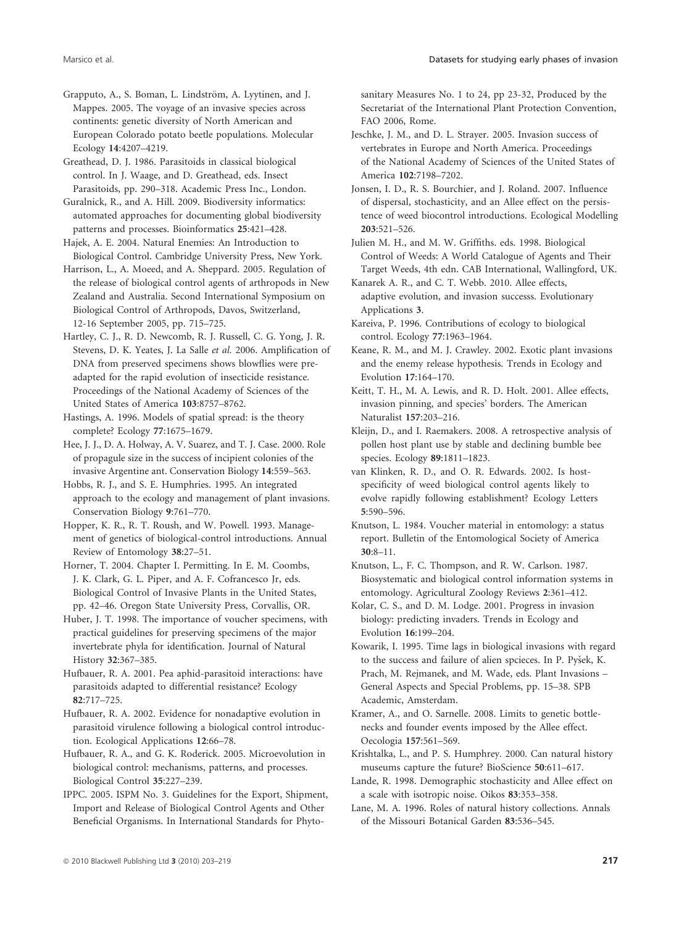- Grapputo, A., S. Boman, L. Lindström, A. Lyytinen, and J. Mappes. 2005. The voyage of an invasive species across continents: genetic diversity of North American and European Colorado potato beetle populations. Molecular Ecology 14:4207–4219.
- Greathead, D. J. 1986. Parasitoids in classical biological control. In J. Waage, and D. Greathead, eds. Insect Parasitoids, pp. 290–318. Academic Press Inc., London.
- Guralnick, R., and A. Hill. 2009. Biodiversity informatics: automated approaches for documenting global biodiversity patterns and processes. Bioinformatics 25:421–428.
- Hajek, A. E. 2004. Natural Enemies: An Introduction to Biological Control. Cambridge University Press, New York.
- Harrison, L., A. Moeed, and A. Sheppard. 2005. Regulation of the release of biological control agents of arthropods in New Zealand and Australia. Second International Symposium on Biological Control of Arthropods, Davos, Switzerland, 12-16 September 2005, pp. 715–725.
- Hartley, C. J., R. D. Newcomb, R. J. Russell, C. G. Yong, J. R. Stevens, D. K. Yeates, J. La Salle et al. 2006. Amplification of DNA from preserved specimens shows blowflies were preadapted for the rapid evolution of insecticide resistance. Proceedings of the National Academy of Sciences of the United States of America 103:8757–8762.
- Hastings, A. 1996. Models of spatial spread: is the theory complete? Ecology 77:1675–1679.
- Hee, J. J., D. A. Holway, A. V. Suarez, and T. J. Case. 2000. Role of propagule size in the success of incipient colonies of the invasive Argentine ant. Conservation Biology 14:559–563.
- Hobbs, R. J., and S. E. Humphries. 1995. An integrated approach to the ecology and management of plant invasions. Conservation Biology 9:761–770.
- Hopper, K. R., R. T. Roush, and W. Powell. 1993. Management of genetics of biological-control introductions. Annual Review of Entomology 38:27–51.
- Horner, T. 2004. Chapter I. Permitting. In E. M. Coombs, J. K. Clark, G. L. Piper, and A. F. Cofrancesco Jr, eds. Biological Control of Invasive Plants in the United States, pp. 42–46. Oregon State University Press, Corvallis, OR.
- Huber, J. T. 1998. The importance of voucher specimens, with practical guidelines for preserving specimens of the major invertebrate phyla for identification. Journal of Natural History 32:367–385.
- Hufbauer, R. A. 2001. Pea aphid-parasitoid interactions: have parasitoids adapted to differential resistance? Ecology 82:717–725.
- Hufbauer, R. A. 2002. Evidence for nonadaptive evolution in parasitoid virulence following a biological control introduction. Ecological Applications 12:66–78.
- Hufbauer, R. A., and G. K. Roderick. 2005. Microevolution in biological control: mechanisms, patterns, and processes. Biological Control 35:227–239.
- IPPC. 2005. ISPM No. 3. Guidelines for the Export, Shipment, Import and Release of Biological Control Agents and Other Beneficial Organisms. In International Standards for Phyto-

sanitary Measures No. 1 to 24, pp 23-32, Produced by the Secretariat of the International Plant Protection Convention, FAO 2006, Rome.

- Jeschke, J. M., and D. L. Strayer. 2005. Invasion success of vertebrates in Europe and North America. Proceedings of the National Academy of Sciences of the United States of America 102:7198–7202.
- Jonsen, I. D., R. S. Bourchier, and J. Roland. 2007. Influence of dispersal, stochasticity, and an Allee effect on the persistence of weed biocontrol introductions. Ecological Modelling 203:521–526.
- Julien M. H., and M. W. Griffiths. eds. 1998. Biological Control of Weeds: A World Catalogue of Agents and Their Target Weeds, 4th edn. CAB International, Wallingford, UK.
- Kanarek A. R., and C. T. Webb. 2010. Allee effects, adaptive evolution, and invasion successs. Evolutionary Applications 3.
- Kareiva, P. 1996. Contributions of ecology to biological control. Ecology 77:1963–1964.
- Keane, R. M., and M. J. Crawley. 2002. Exotic plant invasions and the enemy release hypothesis. Trends in Ecology and Evolution 17:164–170.
- Keitt, T. H., M. A. Lewis, and R. D. Holt. 2001. Allee effects, invasion pinning, and species' borders. The American Naturalist 157:203–216.
- Kleijn, D., and I. Raemakers. 2008. A retrospective analysis of pollen host plant use by stable and declining bumble bee species. Ecology 89:1811–1823.
- van Klinken, R. D., and O. R. Edwards. 2002. Is hostspecificity of weed biological control agents likely to evolve rapidly following establishment? Ecology Letters 5:590–596.
- Knutson, L. 1984. Voucher material in entomology: a status report. Bulletin of the Entomological Society of America 30:8–11.
- Knutson, L., F. C. Thompson, and R. W. Carlson. 1987. Biosystematic and biological control information systems in entomology. Agricultural Zoology Reviews 2:361–412.
- Kolar, C. S., and D. M. Lodge. 2001. Progress in invasion biology: predicting invaders. Trends in Ecology and Evolution 16:199–204.
- Kowarik, I. 1995. Time lags in biological invasions with regard to the success and failure of alien spcieces. In P. Pyšek, K. Prach, M. Rejmanek, and M. Wade, eds. Plant Invasions – General Aspects and Special Problems, pp. 15–38. SPB Academic, Amsterdam.
- Kramer, A., and O. Sarnelle. 2008. Limits to genetic bottlenecks and founder events imposed by the Allee effect. Oecologia 157:561–569.
- Krishtalka, L., and P. S. Humphrey. 2000. Can natural history museums capture the future? BioScience 50:611–617.
- Lande, R. 1998. Demographic stochasticity and Allee effect on a scale with isotropic noise. Oikos 83:353–358.
- Lane, M. A. 1996. Roles of natural history collections. Annals of the Missouri Botanical Garden 83:536–545.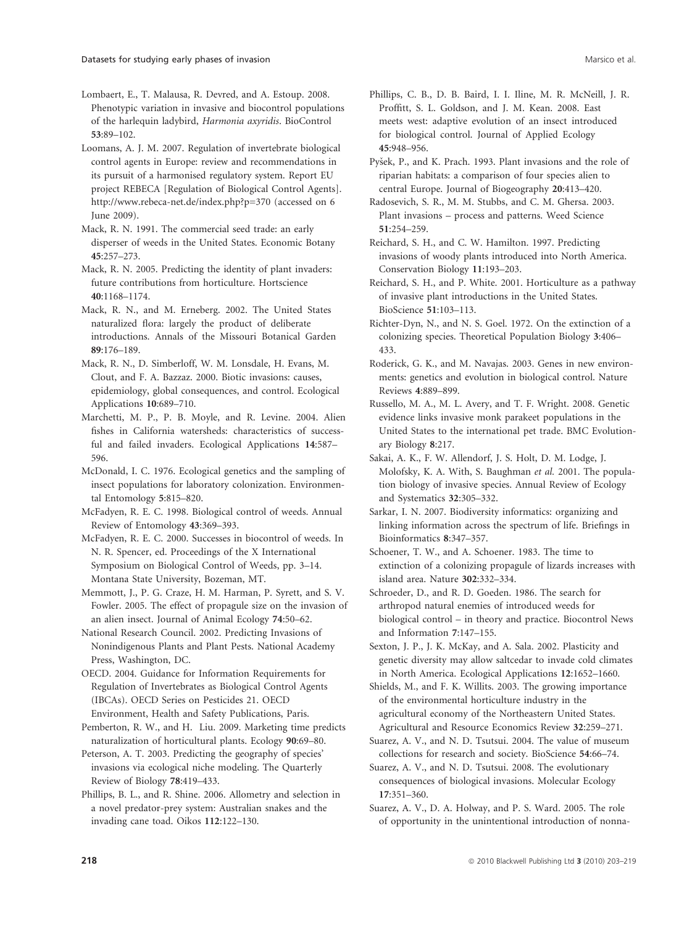Lombaert, E., T. Malausa, R. Devred, and A. Estoup. 2008. Phenotypic variation in invasive and biocontrol populations of the harlequin ladybird, Harmonia axyridis. BioControl 53:89–102.

Loomans, A. J. M. 2007. Regulation of invertebrate biological control agents in Europe: review and recommendations in its pursuit of a harmonised regulatory system. Report EU project REBECA [Regulation of Biological Control Agents]. http://www.rebeca-net.de/index.php?p=370 (accessed on 6 June 2009).

Mack, R. N. 1991. The commercial seed trade: an early disperser of weeds in the United States. Economic Botany 45:257–273.

Mack, R. N. 2005. Predicting the identity of plant invaders: future contributions from horticulture. Hortscience 40:1168–1174.

Mack, R. N., and M. Erneberg. 2002. The United States naturalized flora: largely the product of deliberate introductions. Annals of the Missouri Botanical Garden 89:176–189.

Mack, R. N., D. Simberloff, W. M. Lonsdale, H. Evans, M. Clout, and F. A. Bazzaz. 2000. Biotic invasions: causes, epidemiology, global consequences, and control. Ecological Applications 10:689–710.

Marchetti, M. P., P. B. Moyle, and R. Levine. 2004. Alien fishes in California watersheds: characteristics of successful and failed invaders. Ecological Applications 14:587– 596.

McDonald, I. C. 1976. Ecological genetics and the sampling of insect populations for laboratory colonization. Environmental Entomology 5:815–820.

McFadyen, R. E. C. 1998. Biological control of weeds. Annual Review of Entomology 43:369–393.

McFadyen, R. E. C. 2000. Successes in biocontrol of weeds. In N. R. Spencer, ed. Proceedings of the X International Symposium on Biological Control of Weeds, pp. 3–14. Montana State University, Bozeman, MT.

Memmott, J., P. G. Craze, H. M. Harman, P. Syrett, and S. V. Fowler. 2005. The effect of propagule size on the invasion of an alien insect. Journal of Animal Ecology 74:50–62.

National Research Council. 2002. Predicting Invasions of Nonindigenous Plants and Plant Pests. National Academy Press, Washington, DC.

OECD. 2004. Guidance for Information Requirements for Regulation of Invertebrates as Biological Control Agents (IBCAs). OECD Series on Pesticides 21. OECD Environment, Health and Safety Publications, Paris.

Pemberton, R. W., and H. Liu. 2009. Marketing time predicts naturalization of horticultural plants. Ecology 90:69–80.

Peterson, A. T. 2003. Predicting the geography of species' invasions via ecological niche modeling. The Quarterly Review of Biology 78:419–433.

Phillips, B. L., and R. Shine. 2006. Allometry and selection in a novel predator-prey system: Australian snakes and the invading cane toad. Oikos 112:122–130.

Phillips, C. B., D. B. Baird, I. I. Iline, M. R. McNeill, J. R. Proffitt, S. L. Goldson, and J. M. Kean. 2008. East meets west: adaptive evolution of an insect introduced for biological control. Journal of Applied Ecology 45:948–956.

Pyšek, P., and K. Prach. 1993. Plant invasions and the role of riparian habitats: a comparison of four species alien to central Europe. Journal of Biogeography 20:413–420.

Radosevich, S. R., M. M. Stubbs, and C. M. Ghersa. 2003. Plant invasions – process and patterns. Weed Science 51:254–259.

Reichard, S. H., and C. W. Hamilton. 1997. Predicting invasions of woody plants introduced into North America. Conservation Biology 11:193–203.

Reichard, S. H., and P. White. 2001. Horticulture as a pathway of invasive plant introductions in the United States. BioScience 51:103–113.

Richter-Dyn, N., and N. S. Goel. 1972. On the extinction of a colonizing species. Theoretical Population Biology 3:406– 433.

Roderick, G. K., and M. Navajas. 2003. Genes in new environments: genetics and evolution in biological control. Nature Reviews 4:889–899.

Russello, M. A., M. L. Avery, and T. F. Wright. 2008. Genetic evidence links invasive monk parakeet populations in the United States to the international pet trade. BMC Evolutionary Biology 8:217.

Sakai, A. K., F. W. Allendorf, J. S. Holt, D. M. Lodge, J. Molofsky, K. A. With, S. Baughman et al. 2001. The population biology of invasive species. Annual Review of Ecology and Systematics 32:305–332.

Sarkar, I. N. 2007. Biodiversity informatics: organizing and linking information across the spectrum of life. Briefings in Bioinformatics 8:347–357.

Schoener, T. W., and A. Schoener. 1983. The time to extinction of a colonizing propagule of lizards increases with island area. Nature 302:332–334.

Schroeder, D., and R. D. Goeden. 1986. The search for arthropod natural enemies of introduced weeds for biological control – in theory and practice. Biocontrol News and Information 7:147–155.

Sexton, J. P., J. K. McKay, and A. Sala. 2002. Plasticity and genetic diversity may allow saltcedar to invade cold climates in North America. Ecological Applications 12:1652–1660.

Shields, M., and F. K. Willits. 2003. The growing importance of the environmental horticulture industry in the agricultural economy of the Northeastern United States. Agricultural and Resource Economics Review 32:259–271.

Suarez, A. V., and N. D. Tsutsui. 2004. The value of museum collections for research and society. BioScience 54:66–74.

Suarez, A. V., and N. D. Tsutsui. 2008. The evolutionary consequences of biological invasions. Molecular Ecology 17:351–360.

Suarez, A. V., D. A. Holway, and P. S. Ward. 2005. The role of opportunity in the unintentional introduction of nonna